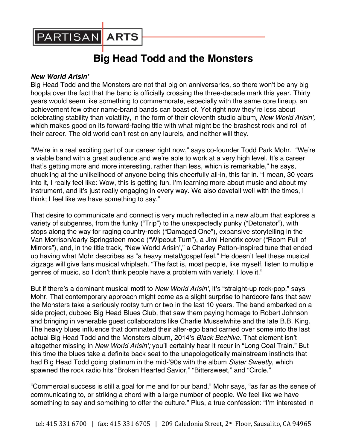

## **Big Head Todd and the Monsters**

## *New World Arisin'*

Big Head Todd and the Monsters are not that big on anniversaries, so there won't be any big hoopla over the fact that the band is officially crossing the three-decade mark this year. Thirty years would seem like something to commemorate, especially with the same core lineup, an achievement few other name-brand bands can boast of. Yet right now they're less about celebrating stability than volatility, in the form of their eleventh studio album, *New World Arisin',*  which makes good on its forward-facing title with what might be the brashest rock and roll of their career. The old world can't rest on any laurels, and neither will they.

"We're in a real exciting part of our career right now," says co-founder Todd Park Mohr. "We're a viable band with a great audience and we're able to work at a very high level. It's a career that's getting more and more interesting, rather than less, which is remarkable," he says, chuckling at the unlikelihood of anyone being this cheerfully all-in, this far in. "I mean, 30 years into it, I really feel like: Wow, this is getting fun. I'm learning more about music and about my instrument, and it's just really engaging in every way. We also dovetail well with the times, I think; I feel like we have something to say."

That desire to communicate and connect is very much reflected in a new album that explores a variety of subgenres, from the funky ("Trip") to the unexpectedly punky ("Detonator"), with stops along the way for raging country-rock ("Damaged One"), expansive storytelling in the Van Morrison/early Springsteen mode ("Wipeout Turn"), a Jimi Hendrix cover ("Room Full of Mirrors"), and, in the title track, "New World Arisin'," a Charley Patton-inspired tune that ended up having what Mohr describes as "a heavy metal/gospel feel." He doesn't feel these musical zigzags will give fans musical whiplash. "The fact is, most people, like myself, listen to multiple genres of music, so I don't think people have a problem with variety. I love it."

But if there's a dominant musical motif to *New World Arisin'*, it's "straight-up rock-pop," says Mohr. That contemporary approach might come as a slight surprise to hardcore fans that saw the Monsters take a seriously rootsy turn or two in the last 10 years. The band embarked on a side project, dubbed Big Head Blues Club, that saw them paying homage to Robert Johnson and bringing in venerable guest collaborators like Charlie Musselwhite and the late B.B. King. The heavy blues influence that dominated their alter-ego band carried over some into the last actual Big Head Todd and the Monsters album, 2014's *Black Beehive*. That element isn't altogether missing in *New World Arisin';* you'll certainly hear it recur in "Long Coal Train." But this time the blues take a definite back seat to the unapologetically mainstream instincts that had Big Head Todd going platinum in the mid-'90s with the album *Sister Sweetly*, which spawned the rock radio hits "Broken Hearted Savior," "Bittersweet," and "Circle."

"Commercial success is still a goal for me and for our band," Mohr says, "as far as the sense of communicating to, or striking a chord with a large number of people. We feel like we have something to say and something to offer the culture." Plus, a true confession: "I'm interested in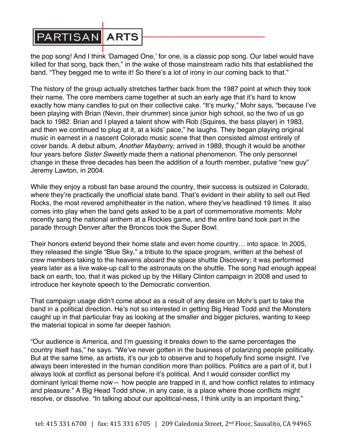## **PARTISAN ARTS**

the pop song! And I think 'Damaged One,' for one, is a classic pop song. Our label would have killed for that song, back then," in the wake of those mainstream radio hits that established the band. "They begged me to write it! So there's a lot of irony in our coming back to that."

The history of the group actually stretches farther back from the 1987 point at which they took their name. The core members came together at such an early age that it's hard to know exactly how many candles to put on their collective cake. "It's murky," Mohr says, "because I've been playing with Brian (Nevin, their drummer) since junior high school, so the two of us go back to 1982. Brian and I played a talent show with Rob (Squires, the bass player) in 1983, and then we continued to plug at it, at a kids' pace," he laughs. They began playing original music in earnest in a nascent Colorado music scene that then consisted almost entirely of cover bands. A debut album, *Another Mayberry*, arrived in 1989, though it would be another four years before *Sister Sweetly* made them a national phenomenon. The only personnel change in these three decades has been the addition of a fourth member, putative "new guy" Jeremy Lawton, in 2004.

While they enjoy a robust fan base around the country, their success is outsized in Colorado, where they're practically the unofficial state band. That's evident in their ability to sell out Red Rocks, the most revered amphitheater in the nation, where they've headlined 19 times. It also comes into play when the band gets asked to be a part of commemorative moments: Mohr recently sang the national anthem at a Rockies game, and the entire band took part in the parade through Denver after the Broncos took the Super Bowl.

Their honors extend beyond their home state and even home country… into space. In 2005, they released the single "Blue Sky," a tribute to the space program, written at the behest of crew members taking to the heavens aboard the space shuttle Discovery; it was performed years later as a live wake-up call to the astronauts on the shuttle. The song had enough appeal back on earth, too, that it was picked up by the Hillary Clinton campaign in 2008 and used to introduce her keynote speech to the Democratic convention.

That campaign usage didn't come about as a result of any desire on Mohr's part to take the band in a political direction. He's not so interested in getting Big Head Todd and the Monsters caught up in that particular fray as looking at the smaller and bigger pictures, wanting to keep the material topical in some far deeper fashion.

"Our audience is America, and I'm guessing it breaks down to the same percentages the country itself has," he says. "We've never gotten in the business of polarizing people politically. But at the same time, as artists, it's our job to observe and to hopefully find some insight. I've always been interested in the human condition more than politics. Politics are a part of it, but I always look at conflict as personal before it's political. And I would consider conflict my dominant lyrical theme now— how people are trapped in it, and how conflict relates to intimacy and pleasure." A Big Head Todd show, in any case, is a place where those conflicts might resolve, or dissolve. "In talking about our apolitical-ness, I think unity is an important thing,"